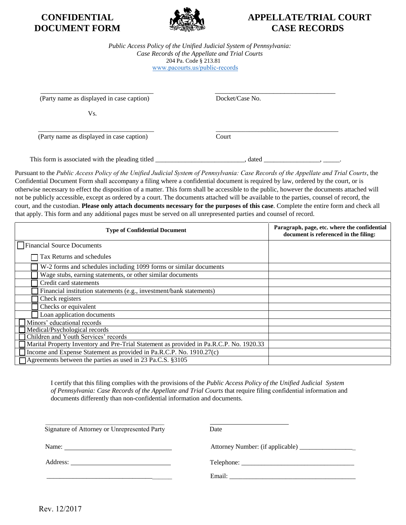

## **CONFIDENTIAL APPELLATE/TRIAL COURT DOCUMENT FORM EXAMPLES CASE RECORDS**

*Public Access Policy of the Unified Judicial System of Pennsylvania: Case Records of the Appellate and Trial Courts*  204 Pa. Code § 213.81 [www.pacourts.us/public-records](http://www.pacourts.us/public-record-policies)

 $\overline{\phantom{a}}$  , and the contract of the contract of the contract of the contract of the contract of the contract of the contract of the contract of the contract of the contract of the contract of the contract of the contrac (Party name as displayed in case caption) Docket/Case No.

Vs.

(Party name as displayed in case caption) Court

This form is associated with the pleading titled \_\_\_\_\_\_\_\_\_\_\_\_\_\_\_\_\_\_\_\_\_, dated \_\_\_\_\_\_\_\_\_\_\_\_\_\_, \_\_\_\_\_\_.

Pursuant to the *Public Access Policy of the Unified Judicial System of Pennsylvania: Case Records of the Appellate and Trial Courts*, the Confidential Document Form shall accompany a filing where a confidential document is required by law, ordered by the court, or is otherwise necessary to effect the disposition of a matter. This form shall be accessible to the public, however the documents attached will not be publicly accessible, except as ordered by a court. The documents attached will be available to the parties, counsel of record, the court, and the custodian. **Please only attach documents necessary for the purposes of this case**. Complete the entire form and check all that apply. This form and any additional pages must be served on all unrepresented parties and counsel of record.

 $\frac{1}{2}$  , and the set of the set of the set of the set of the set of the set of the set of the set of the set of the set of the set of the set of the set of the set of the set of the set of the set of the set of the set

| <b>Type of Confidential Document</b>                                                    | Paragraph, page, etc. where the confidential<br>document is referenced in the filing: |
|-----------------------------------------------------------------------------------------|---------------------------------------------------------------------------------------|
| Financial Source Documents                                                              |                                                                                       |
| Tax Returns and schedules                                                               |                                                                                       |
| W-2 forms and schedules including 1099 forms or similar documents                       |                                                                                       |
| Wage stubs, earning statements, or other similar documents                              |                                                                                       |
| Credit card statements                                                                  |                                                                                       |
| Financial institution statements (e.g., investment/bank statements)                     |                                                                                       |
| Check registers                                                                         |                                                                                       |
| Checks or equivalent                                                                    |                                                                                       |
| Loan application documents                                                              |                                                                                       |
| Minors' educational records                                                             |                                                                                       |
| Medical/Psychological records                                                           |                                                                                       |
| Children and Youth Services' records                                                    |                                                                                       |
| Marital Property Inventory and Pre-Trial Statement as provided in Pa.R.C.P. No. 1920.33 |                                                                                       |
| Income and Expense Statement as provided in Pa.R.C.P. No. 1910.27(c)                    |                                                                                       |
| Agreements between the parties as used in 23 Pa.C.S. §3105                              |                                                                                       |

I certify that this filing complies with the provisions of the *Public Access Policy of the Unified Judicial System of Pennsylvania: Case Records of the Appellate and Trial Courts* that require filing confidential information and documents differently than non-confidential information and documents.

| Signature of Attorney or Unrepresented Party | Date |
|----------------------------------------------|------|

Name: Attorney Number: (if applicable) \_\_\_\_\_\_\_\_\_\_\_\_\_\_\_\_\_

Address: Telephone: \_\_\_\_\_\_\_\_\_\_\_\_\_\_\_\_\_\_\_\_\_\_\_\_\_\_\_\_\_\_\_\_\_\_

\_\_\_\_\_\_\_\_\_\_\_\_\_\_\_\_\_\_\_\_\_\_\_\_\_\_\_\_\_\_\_\_\_\_\_\_\_\_ Email: \_\_\_\_\_\_\_\_\_\_\_\_\_\_\_\_\_\_\_\_\_\_\_\_\_\_\_\_\_\_\_\_\_\_\_\_\_\_